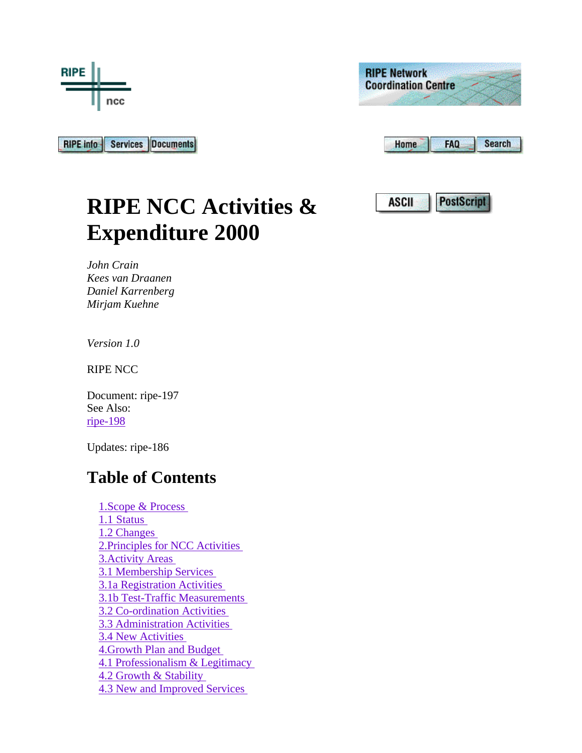

**RIPE Network Coordination Centre Home FAQ Search** 

Services Documents **RIPE info** 

| ASCII | PostNerr |
|-------|----------|
|-------|----------|

**RIPE NCC Activities & Expenditure 2000** 

*John Crain Kees van Draanen Daniel Karrenberg Mirjam Kuehne* 

*Version 1.0* 

RIPE NCC

Document: ripe-197 See Also: ripe-198

Updates: ripe-186

## **Table of Contents**

 1.Scope & Process 1.1 Status 1.2 Changes 2.Principles for NCC Activities 3.Activity Areas 3.1 Membership Services 3.1a Registration Activities 3.1b Test-Traffic Measurements 3.2 Co-ordination Activities 3.3 Administration Activities 3.4 New Activities 4.Growth Plan and Budget 4.1 Professionalism & Legitimacy 4.2 Growth & Stability 4.3 New and Improved Services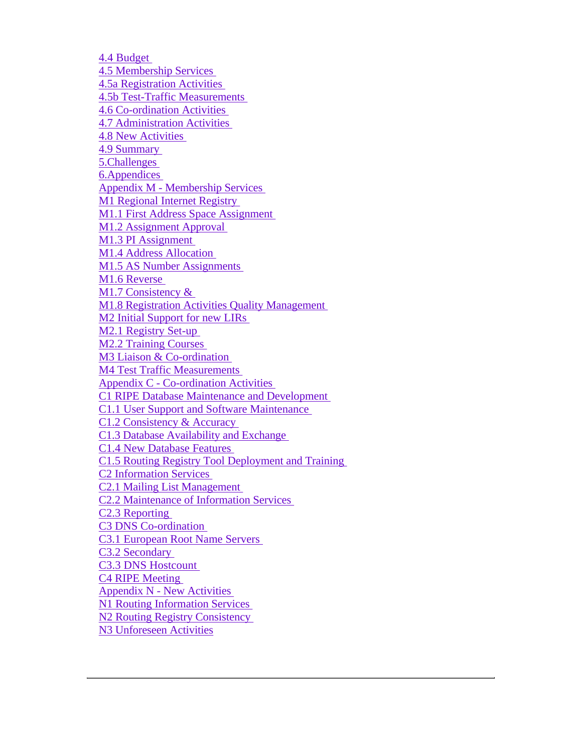4.4 Budget 4.5 Membership Services 4.5a Registration Activities 4.5b Test-Traffic Measurements 4.6 Co-ordination Activities 4.7 Administration Activities 4.8 New Activities 4.9 Summary 5.Challenges 6.Appendices Appendix M - Membership Services M1 Regional Internet Registry M1.1 First Address Space Assignment M1.2 Assignment Approval M1.3 PI Assignment M1.4 Address Allocation M1.5 AS Number Assignments M1.6 Reverse M1.7 Consistency & M1.8 Registration Activities Quality Management M2 Initial Support for new LIRs M2.1 Registry Set-up M2.2 Training Courses M3 Liaison & Co-ordination M4 Test Traffic Measurements Appendix C - Co-ordination Activities C1 RIPE Database Maintenance and Development C1.1 User Support and Software Maintenance C1.2 Consistency & Accuracy C1.3 Database Availability and Exchange C1.4 New Database Features C1.5 Routing Registry Tool Deployment and Training C2 Information Services C2.1 Mailing List Management C2.2 Maintenance of Information Services C2.3 Reporting C3 DNS Co-ordination C3.1 European Root Name Servers C3.2 Secondary C3.3 DNS Hostcount C4 RIPE Meeting Appendix N - New Activities N1 Routing Information Services N2 Routing Registry Consistency N3 Unforeseen Activities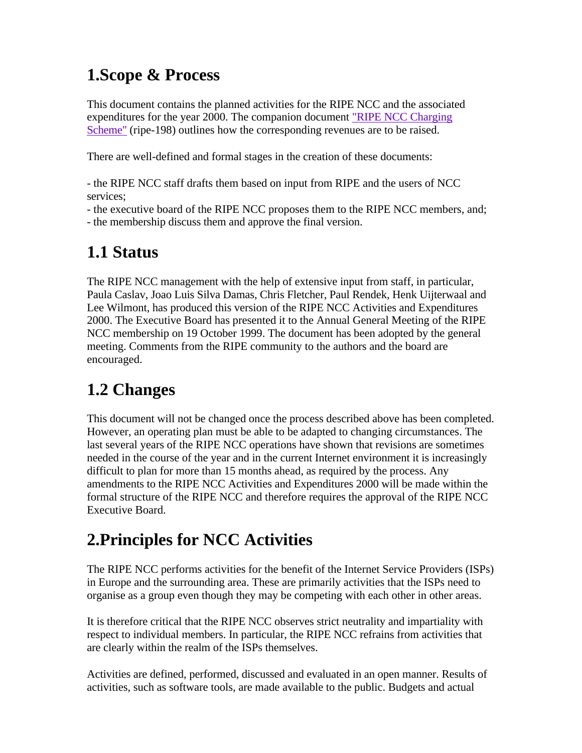## **1.Scope & Process**

This document contains the planned activities for the RIPE NCC and the associated expenditures for the year 2000. The companion document "RIPE NCC Charging Scheme" (ripe-198) outlines how the corresponding revenues are to be raised.

There are well-defined and formal stages in the creation of these documents:

- the RIPE NCC staff drafts them based on input from RIPE and the users of NCC services;

- the executive board of the RIPE NCC proposes them to the RIPE NCC members, and; - the membership discuss them and approve the final version.

#### **1.1 Status**

The RIPE NCC management with the help of extensive input from staff, in particular, Paula Caslav, Joao Luis Silva Damas, Chris Fletcher, Paul Rendek, Henk Uijterwaal and Lee Wilmont, has produced this version of the RIPE NCC Activities and Expenditures 2000. The Executive Board has presented it to the Annual General Meeting of the RIPE NCC membership on 19 October 1999. The document has been adopted by the general meeting. Comments from the RIPE community to the authors and the board are encouraged.

# **1.2 Changes**

This document will not be changed once the process described above has been completed. However, an operating plan must be able to be adapted to changing circumstances. The last several years of the RIPE NCC operations have shown that revisions are sometimes needed in the course of the year and in the current Internet environment it is increasingly difficult to plan for more than 15 months ahead, as required by the process. Any amendments to the RIPE NCC Activities and Expenditures 2000 will be made within the formal structure of the RIPE NCC and therefore requires the approval of the RIPE NCC Executive Board.

## **2.Principles for NCC Activities**

The RIPE NCC performs activities for the benefit of the Internet Service Providers (ISPs) in Europe and the surrounding area. These are primarily activities that the ISPs need to organise as a group even though they may be competing with each other in other areas.

It is therefore critical that the RIPE NCC observes strict neutrality and impartiality with respect to individual members. In particular, the RIPE NCC refrains from activities that are clearly within the realm of the ISPs themselves.

Activities are defined, performed, discussed and evaluated in an open manner. Results of activities, such as software tools, are made available to the public. Budgets and actual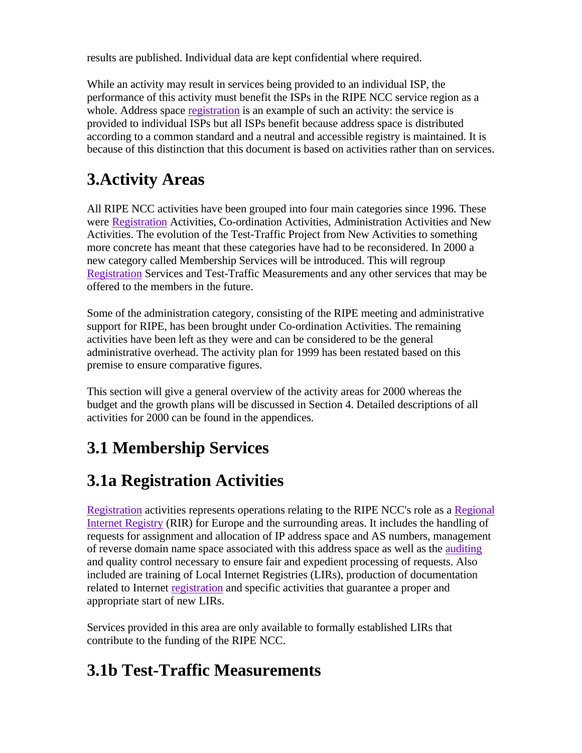results are published. Individual data are kept confidential where required.

While an activity may result in services being provided to an individual ISP, the performance of this activity must benefit the ISPs in the RIPE NCC service region as a whole. Address space registration is an example of such an activity: the service is provided to individual ISPs but all ISPs benefit because address space is distributed according to a common standard and a neutral and accessible registry is maintained. It is because of this distinction that this document is based on activities rather than on services.

# **3.Activity Areas**

All RIPE NCC activities have been grouped into four main categories since 1996. These were Registration Activities, Co-ordination Activities, Administration Activities and New Activities. The evolution of the Test-Traffic Project from New Activities to something more concrete has meant that these categories have had to be reconsidered. In 2000 a new category called Membership Services will be introduced. This will regroup Registration Services and Test-Traffic Measurements and any other services that may be offered to the members in the future.

Some of the administration category, consisting of the RIPE meeting and administrative support for RIPE, has been brought under Co-ordination Activities. The remaining activities have been left as they were and can be considered to be the general administrative overhead. The activity plan for 1999 has been restated based on this premise to ensure comparative figures.

This section will give a general overview of the activity areas for 2000 whereas the budget and the growth plans will be discussed in Section 4. Detailed descriptions of all activities for 2000 can be found in the appendices.

# **3.1 Membership Services**

# **3.1a Registration Activities**

Registration activities represents operations relating to the RIPE NCC's role as a Regional Internet Registry (RIR) for Europe and the surrounding areas. It includes the handling of requests for assignment and allocation of IP address space and AS numbers, management of reverse domain name space associated with this address space as well as the auditing and quality control necessary to ensure fair and expedient processing of requests. Also included are training of Local Internet Registries (LIRs), production of documentation related to Internet registration and specific activities that guarantee a proper and appropriate start of new LIRs.

Services provided in this area are only available to formally established LIRs that contribute to the funding of the RIPE NCC.

# **3.1b Test-Traffic Measurements**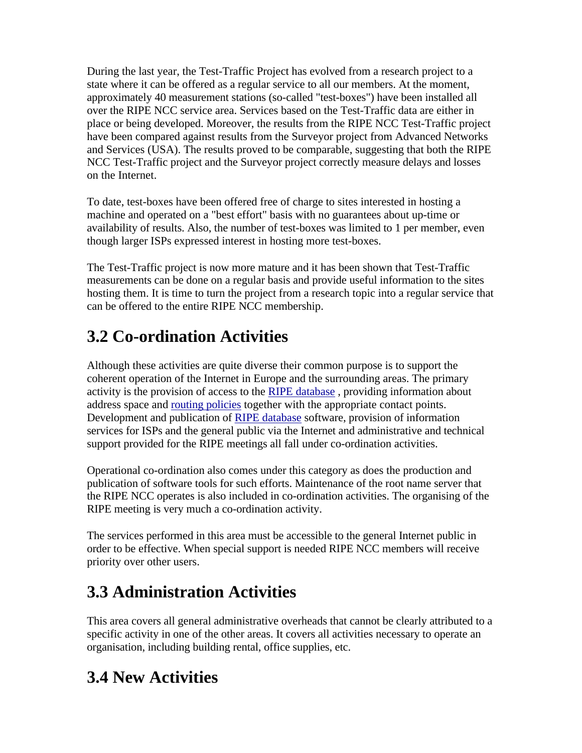During the last year, the Test-Traffic Project has evolved from a research project to a state where it can be offered as a regular service to all our members. At the moment, approximately 40 measurement stations (so-called "test-boxes") have been installed all over the RIPE NCC service area. Services based on the Test-Traffic data are either in place or being developed. Moreover, the results from the RIPE NCC Test-Traffic project have been compared against results from the Surveyor project from Advanced Networks and Services (USA). The results proved to be comparable, suggesting that both the RIPE NCC Test-Traffic project and the Surveyor project correctly measure delays and losses on the Internet.

To date, test-boxes have been offered free of charge to sites interested in hosting a machine and operated on a "best effort" basis with no guarantees about up-time or availability of results. Also, the number of test-boxes was limited to 1 per member, even though larger ISPs expressed interest in hosting more test-boxes.

The Test-Traffic project is now more mature and it has been shown that Test-Traffic measurements can be done on a regular basis and provide useful information to the sites hosting them. It is time to turn the project from a research topic into a regular service that can be offered to the entire RIPE NCC membership.

# **3.2 Co-ordination Activities**

Although these activities are quite diverse their common purpose is to support the coherent operation of the Internet in Europe and the surrounding areas. The primary activity is the provision of access to the RIPE database, providing information about address space and routing policies together with the appropriate contact points. Development and publication of RIPE database software, provision of information services for ISPs and the general public via the Internet and administrative and technical support provided for the RIPE meetings all fall under co-ordination activities.

Operational co-ordination also comes under this category as does the production and publication of software tools for such efforts. Maintenance of the root name server that the RIPE NCC operates is also included in co-ordination activities. The organising of the RIPE meeting is very much a co-ordination activity.

The services performed in this area must be accessible to the general Internet public in order to be effective. When special support is needed RIPE NCC members will receive priority over other users.

# **3.3 Administration Activities**

This area covers all general administrative overheads that cannot be clearly attributed to a specific activity in one of the other areas. It covers all activities necessary to operate an organisation, including building rental, office supplies, etc.

# **3.4 New Activities**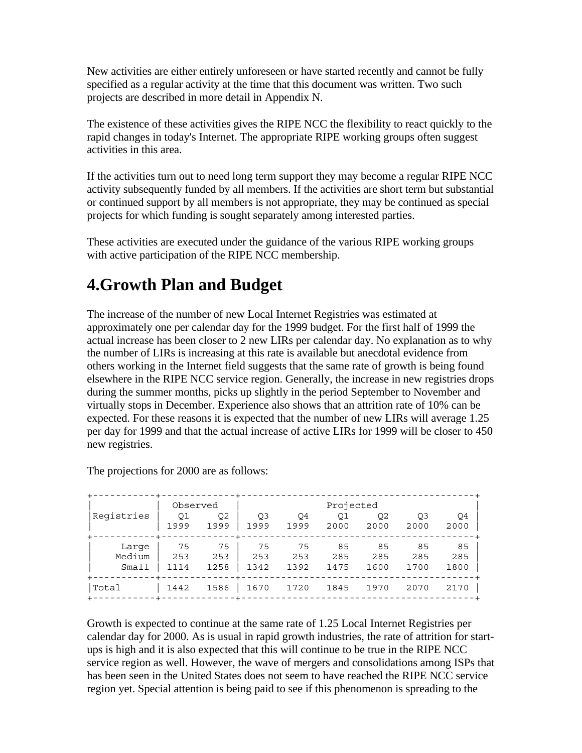New activities are either entirely unforeseen or have started recently and cannot be fully specified as a regular activity at the time that this document was written. Two such projects are described in more detail in Appendix N.

The existence of these activities gives the RIPE NCC the flexibility to react quickly to the rapid changes in today's Internet. The appropriate RIPE working groups often suggest activities in this area.

If the activities turn out to need long term support they may become a regular RIPE NCC activity subsequently funded by all members. If the activities are short term but substantial or continued support by all members is not appropriate, they may be continued as special projects for which funding is sought separately among interested parties.

These activities are executed under the guidance of the various RIPE working groups with active participation of the RIPE NCC membership.

#### **4.Growth Plan and Budget**

The increase of the number of new Local Internet Registries was estimated at approximately one per calendar day for the 1999 budget. For the first half of 1999 the actual increase has been closer to 2 new LIRs per calendar day. No explanation as to why the number of LIRs is increasing at this rate is available but anecdotal evidence from others working in the Internet field suggests that the same rate of growth is being found elsewhere in the RIPE NCC service region. Generally, the increase in new registries drops during the summer months, picks up slightly in the period September to November and virtually stops in December. Experience also shows that an attrition rate of 10% can be expected. For these reasons it is expected that the number of new LIRs will average 1.25 per day for 1999 and that the actual increase of active LIRs for 1999 will be closer to 450 new registries.

|            | Observed |                | Projected      |                |      |                |      |      |
|------------|----------|----------------|----------------|----------------|------|----------------|------|------|
| Registries | 01       | O <sub>2</sub> | O <sub>3</sub> | O <sub>4</sub> | 01   | O <sub>2</sub> | Q3   | O4   |
|            | 1999     | 1999           | 1999           | 1999           | 2000 | 2000           | 2000 | 2000 |
| Large      | 75       | 75             | 75             | 75             | 85   | 85             | 85   | 85   |
| Medium     | 253      | 253            | 253            | 253            | 285  | 285            | 285  | 285  |
| Small      | 1114     | 1258           | 1342           | 1392           | 1475 | 1600           | 1700 | 1800 |
| Total      | 1442     | 1586           | 1670           | 1720           | 1845 | 1970           | 2070 | 2170 |

The projections for 2000 are as follows:

Growth is expected to continue at the same rate of 1.25 Local Internet Registries per calendar day for 2000. As is usual in rapid growth industries, the rate of attrition for startups is high and it is also expected that this will continue to be true in the RIPE NCC service region as well. However, the wave of mergers and consolidations among ISPs that has been seen in the United States does not seem to have reached the RIPE NCC service region yet. Special attention is being paid to see if this phenomenon is spreading to the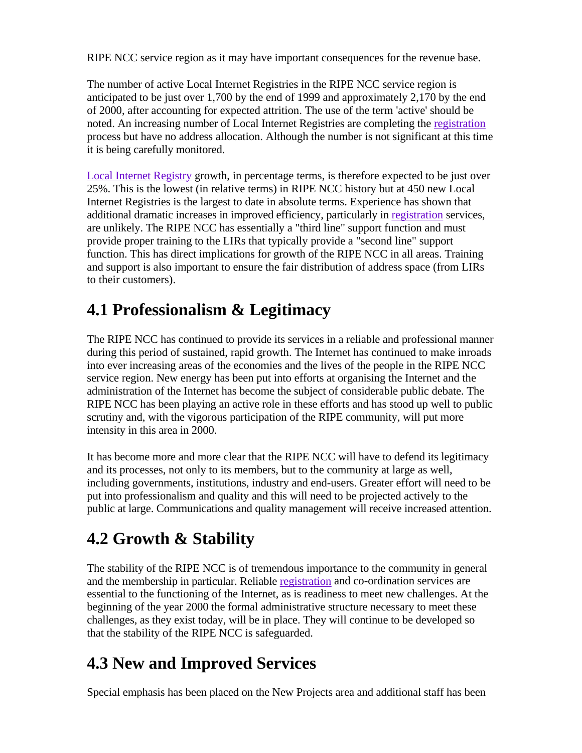RIPE NCC service region as it may have important consequences for the revenue base.

The number of active Local Internet Registries in the RIPE NCC service region is anticipated to be just over 1,700 by the end of 1999 and approximately 2,170 by the end of 2000, after accounting for expected attrition. The use of the term 'active' should be noted. An increasing number of Local Internet Registries are completing the registration process but have no address allocation. Although the number is not significant at this time it is being carefully monitored.

Local Internet Registry growth, in percentage terms, is therefore expected to be just over 25%. This is the lowest (in relative terms) in RIPE NCC history but at 450 new Local Internet Registries is the largest to date in absolute terms. Experience has shown that additional dramatic increases in improved efficiency, particularly in registration services, are unlikely. The RIPE NCC has essentially a "third line" support function and must provide proper training to the LIRs that typically provide a "second line" support function. This has direct implications for growth of the RIPE NCC in all areas. Training and support is also important to ensure the fair distribution of address space (from LIRs to their customers).

## **4.1 Professionalism & Legitimacy**

The RIPE NCC has continued to provide its services in a reliable and professional manner during this period of sustained, rapid growth. The Internet has continued to make inroads into ever increasing areas of the economies and the lives of the people in the RIPE NCC service region. New energy has been put into efforts at organising the Internet and the administration of the Internet has become the subject of considerable public debate. The RIPE NCC has been playing an active role in these efforts and has stood up well to public scrutiny and, with the vigorous participation of the RIPE community, will put more intensity in this area in 2000.

It has become more and more clear that the RIPE NCC will have to defend its legitimacy and its processes, not only to its members, but to the community at large as well, including governments, institutions, industry and end-users. Greater effort will need to be put into professionalism and quality and this will need to be projected actively to the public at large. Communications and quality management will receive increased attention.

# **4.2 Growth & Stability**

The stability of the RIPE NCC is of tremendous importance to the community in general and the membership in particular. Reliable registration and co-ordination services are essential to the functioning of the Internet, as is readiness to meet new challenges. At the beginning of the year 2000 the formal administrative structure necessary to meet these challenges, as they exist today, will be in place. They will continue to be developed so that the stability of the RIPE NCC is safeguarded.

## **4.3 New and Improved Services**

Special emphasis has been placed on the New Projects area and additional staff has been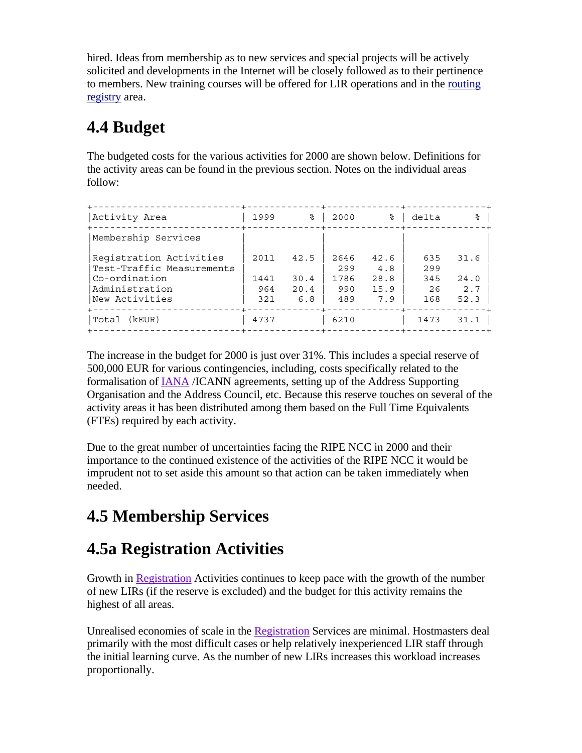hired. Ideas from membership as to new services and special projects will be actively solicited and developments in the Internet will be closely followed as to their pertinence to members. New training courses will be offered for LIR operations and in the routing registry area.

# **4.4 Budget**

The budgeted costs for the various activities for 2000 are shown below. Definitions for the activity areas can be found in the previous section. Notes on the individual areas follow:

| Activity Area                                                                                             | 1999                       | ⊱                           | 2000                              | ⊱                                  | delta                          | ⊱                           |
|-----------------------------------------------------------------------------------------------------------|----------------------------|-----------------------------|-----------------------------------|------------------------------------|--------------------------------|-----------------------------|
| Membership Services                                                                                       |                            |                             |                                   |                                    |                                |                             |
| Registration Activities<br>Test-Traffic Measurements<br>Co-ordination<br>Administration<br>New Activities | 2011<br>1441<br>964<br>321 | 42.5<br>30.4<br>20.4<br>6.8 | 2646<br>299<br>1786<br>990<br>489 | 42.6<br>4.8<br>28.8<br>15.9<br>7.9 | 635<br>299<br>345<br>26<br>168 | 31.6<br>24.0<br>2.7<br>52.3 |
| Total (kEUR)                                                                                              | 4737                       |                             | 6210                              |                                    | 1473                           | 31.1                        |

The increase in the budget for 2000 is just over 31%. This includes a special reserve of 500,000 EUR for various contingencies, including, costs specifically related to the formalisation of IANA /ICANN agreements, setting up of the Address Supporting Organisation and the Address Council, etc. Because this reserve touches on several of the activity areas it has been distributed among them based on the Full Time Equivalents (FTEs) required by each activity.

Due to the great number of uncertainties facing the RIPE NCC in 2000 and their importance to the continued existence of the activities of the RIPE NCC it would be imprudent not to set aside this amount so that action can be taken immediately when needed.

# **4.5 Membership Services**

# **4.5a Registration Activities**

Growth in Registration Activities continues to keep pace with the growth of the number of new LIRs (if the reserve is excluded) and the budget for this activity remains the highest of all areas.

Unrealised economies of scale in the Registration Services are minimal. Hostmasters deal primarily with the most difficult cases or help relatively inexperienced LIR staff through the initial learning curve. As the number of new LIRs increases this workload increases proportionally.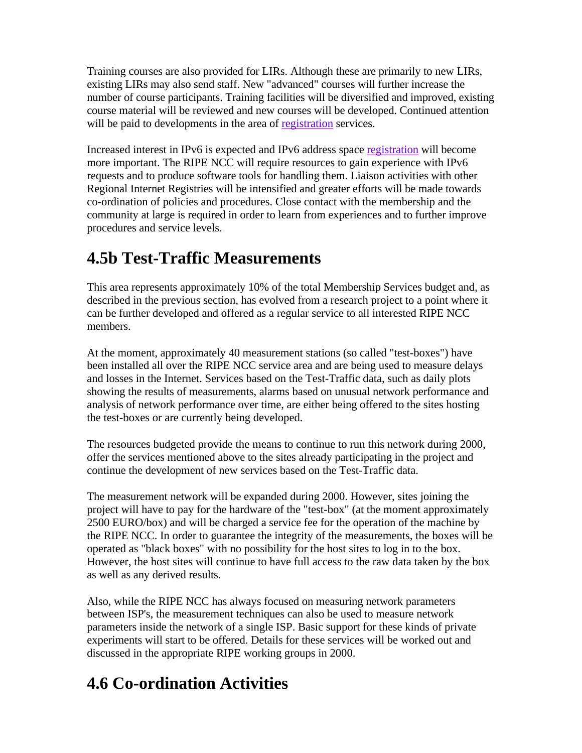Training courses are also provided for LIRs. Although these are primarily to new LIRs, existing LIRs may also send staff. New "advanced" courses will further increase the number of course participants. Training facilities will be diversified and improved, existing course material will be reviewed and new courses will be developed. Continued attention will be paid to developments in the area of registration services.

Increased interest in IPv6 is expected and IPv6 address space registration will become more important. The RIPE NCC will require resources to gain experience with IPv6 requests and to produce software tools for handling them. Liaison activities with other Regional Internet Registries will be intensified and greater efforts will be made towards co-ordination of policies and procedures. Close contact with the membership and the community at large is required in order to learn from experiences and to further improve procedures and service levels.

## **4.5b Test-Traffic Measurements**

This area represents approximately 10% of the total Membership Services budget and, as described in the previous section, has evolved from a research project to a point where it can be further developed and offered as a regular service to all interested RIPE NCC members.

At the moment, approximately 40 measurement stations (so called "test-boxes") have been installed all over the RIPE NCC service area and are being used to measure delays and losses in the Internet. Services based on the Test-Traffic data, such as daily plots showing the results of measurements, alarms based on unusual network performance and analysis of network performance over time, are either being offered to the sites hosting the test-boxes or are currently being developed.

The resources budgeted provide the means to continue to run this network during 2000, offer the services mentioned above to the sites already participating in the project and continue the development of new services based on the Test-Traffic data.

The measurement network will be expanded during 2000. However, sites joining the project will have to pay for the hardware of the "test-box" (at the moment approximately 2500 EURO/box) and will be charged a service fee for the operation of the machine by the RIPE NCC. In order to guarantee the integrity of the measurements, the boxes will be operated as "black boxes" with no possibility for the host sites to log in to the box. However, the host sites will continue to have full access to the raw data taken by the box as well as any derived results.

Also, while the RIPE NCC has always focused on measuring network parameters between ISP's, the measurement techniques can also be used to measure network parameters inside the network of a single ISP. Basic support for these kinds of private experiments will start to be offered. Details for these services will be worked out and discussed in the appropriate RIPE working groups in 2000.

# **4.6 Co-ordination Activities**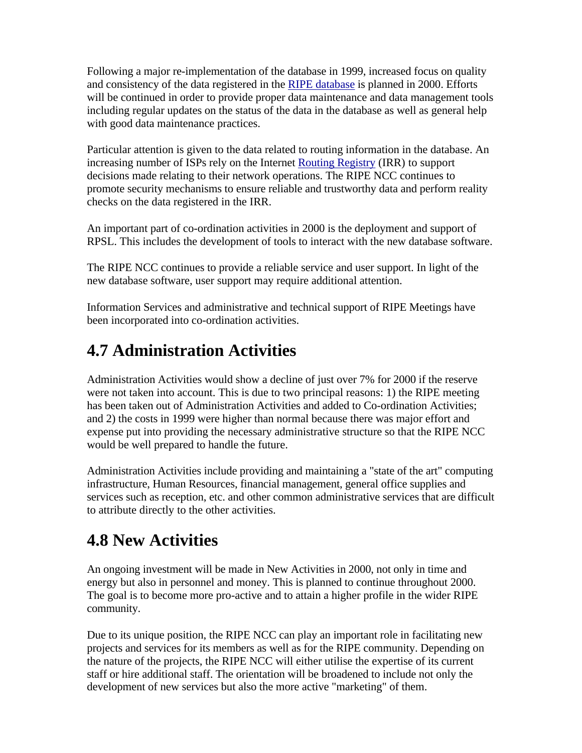Following a major re-implementation of the database in 1999, increased focus on quality and consistency of the data registered in the RIPE database is planned in 2000. Efforts will be continued in order to provide proper data maintenance and data management tools including regular updates on the status of the data in the database as well as general help with good data maintenance practices.

Particular attention is given to the data related to routing information in the database. An increasing number of ISPs rely on the Internet Routing Registry (IRR) to support decisions made relating to their network operations. The RIPE NCC continues to promote security mechanisms to ensure reliable and trustworthy data and perform reality checks on the data registered in the IRR.

An important part of co-ordination activities in 2000 is the deployment and support of RPSL. This includes the development of tools to interact with the new database software.

The RIPE NCC continues to provide a reliable service and user support. In light of the new database software, user support may require additional attention.

Information Services and administrative and technical support of RIPE Meetings have been incorporated into co-ordination activities.

## **4.7 Administration Activities**

Administration Activities would show a decline of just over 7% for 2000 if the reserve were not taken into account. This is due to two principal reasons: 1) the RIPE meeting has been taken out of Administration Activities and added to Co-ordination Activities; and 2) the costs in 1999 were higher than normal because there was major effort and expense put into providing the necessary administrative structure so that the RIPE NCC would be well prepared to handle the future.

Administration Activities include providing and maintaining a "state of the art" computing infrastructure, Human Resources, financial management, general office supplies and services such as reception, etc. and other common administrative services that are difficult to attribute directly to the other activities.

## **4.8 New Activities**

An ongoing investment will be made in New Activities in 2000, not only in time and energy but also in personnel and money. This is planned to continue throughout 2000. The goal is to become more pro-active and to attain a higher profile in the wider RIPE community.

Due to its unique position, the RIPE NCC can play an important role in facilitating new projects and services for its members as well as for the RIPE community. Depending on the nature of the projects, the RIPE NCC will either utilise the expertise of its current staff or hire additional staff. The orientation will be broadened to include not only the development of new services but also the more active "marketing" of them.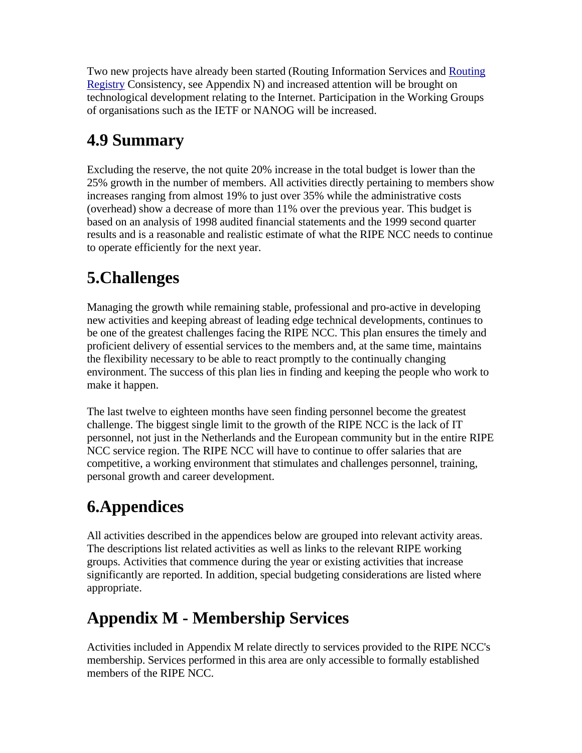Two new projects have already been started (Routing Information Services and Routing Registry Consistency, see Appendix N) and increased attention will be brought on technological development relating to the Internet. Participation in the Working Groups of organisations such as the IETF or NANOG will be increased.

# **4.9 Summary**

Excluding the reserve, the not quite 20% increase in the total budget is lower than the 25% growth in the number of members. All activities directly pertaining to members show increases ranging from almost 19% to just over 35% while the administrative costs (overhead) show a decrease of more than 11% over the previous year. This budget is based on an analysis of 1998 audited financial statements and the 1999 second quarter results and is a reasonable and realistic estimate of what the RIPE NCC needs to continue to operate efficiently for the next year.

# **5.Challenges**

Managing the growth while remaining stable, professional and pro-active in developing new activities and keeping abreast of leading edge technical developments, continues to be one of the greatest challenges facing the RIPE NCC. This plan ensures the timely and proficient delivery of essential services to the members and, at the same time, maintains the flexibility necessary to be able to react promptly to the continually changing environment. The success of this plan lies in finding and keeping the people who work to make it happen.

The last twelve to eighteen months have seen finding personnel become the greatest challenge. The biggest single limit to the growth of the RIPE NCC is the lack of IT personnel, not just in the Netherlands and the European community but in the entire RIPE NCC service region. The RIPE NCC will have to continue to offer salaries that are competitive, a working environment that stimulates and challenges personnel, training, personal growth and career development.

## **6.Appendices**

All activities described in the appendices below are grouped into relevant activity areas. The descriptions list related activities as well as links to the relevant RIPE working groups. Activities that commence during the year or existing activities that increase significantly are reported. In addition, special budgeting considerations are listed where appropriate.

## **Appendix M - Membership Services**

Activities included in Appendix M relate directly to services provided to the RIPE NCC's membership. Services performed in this area are only accessible to formally established members of the RIPE NCC.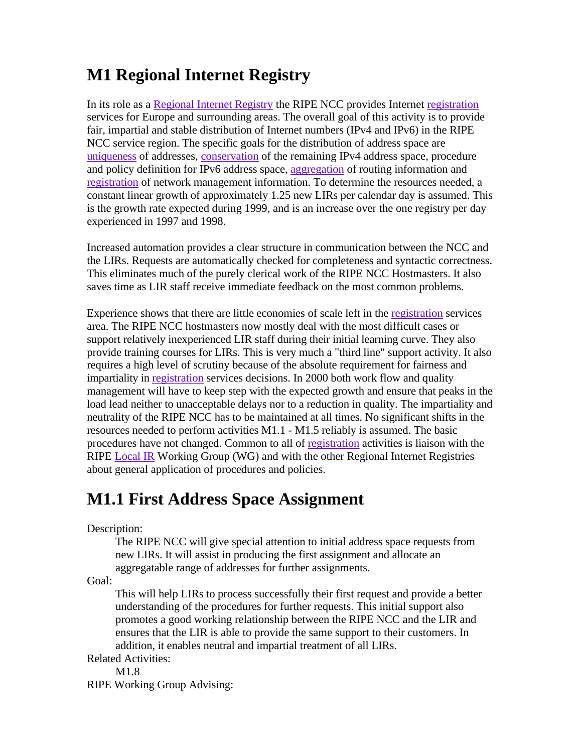## **M1 Regional Internet Registry**

In its role as a Regional Internet Registry the RIPE NCC provides Internet registration services for Europe and surrounding areas. The overall goal of this activity is to provide fair, impartial and stable distribution of Internet numbers (IPv4 and IPv6) in the RIPE NCC service region. The specific goals for the distribution of address space are uniqueness of addresses, conservation of the remaining IPv4 address space, procedure and policy definition for IPv6 address space, aggregation of routing information and registration of network management information. To determine the resources needed, a constant linear growth of approximately 1.25 new LIRs per calendar day is assumed. This is the growth rate expected during 1999, and is an increase over the one registry per day experienced in 1997 and 1998.

Increased automation provides a clear structure in communication between the NCC and the LIRs. Requests are automatically checked for completeness and syntactic correctness. This eliminates much of the purely clerical work of the RIPE NCC Hostmasters. It also saves time as LIR staff receive immediate feedback on the most common problems.

Experience shows that there are little economies of scale left in the registration services area. The RIPE NCC hostmasters now mostly deal with the most difficult cases or support relatively inexperienced LIR staff during their initial learning curve. They also provide training courses for LIRs. This is very much a "third line" support activity. It also requires a high level of scrutiny because of the absolute requirement for fairness and impartiality in registration services decisions. In 2000 both work flow and quality management will have to keep step with the expected growth and ensure that peaks in the load lead neither to unacceptable delays nor to a reduction in quality. The impartiality and neutrality of the RIPE NCC has to be maintained at all times. No significant shifts in the resources needed to perform activities M1.1 - M1.5 reliably is assumed. The basic procedures have not changed. Common to all of registration activities is liaison with the RIPE Local IR Working Group (WG) and with the other Regional Internet Registries about general application of procedures and policies.

## **M1.1 First Address Space Assignment**

Description:

The RIPE NCC will give special attention to initial address space requests from new LIRs. It will assist in producing the first assignment and allocate an aggregatable range of addresses for further assignments.

Goal:

This will help LIRs to process successfully their first request and provide a better understanding of the procedures for further requests. This initial support also promotes a good working relationship between the RIPE NCC and the LIR and ensures that the LIR is able to provide the same support to their customers. In addition, it enables neutral and impartial treatment of all LIRs.

Related Activities:

M1.8

RIPE Working Group Advising: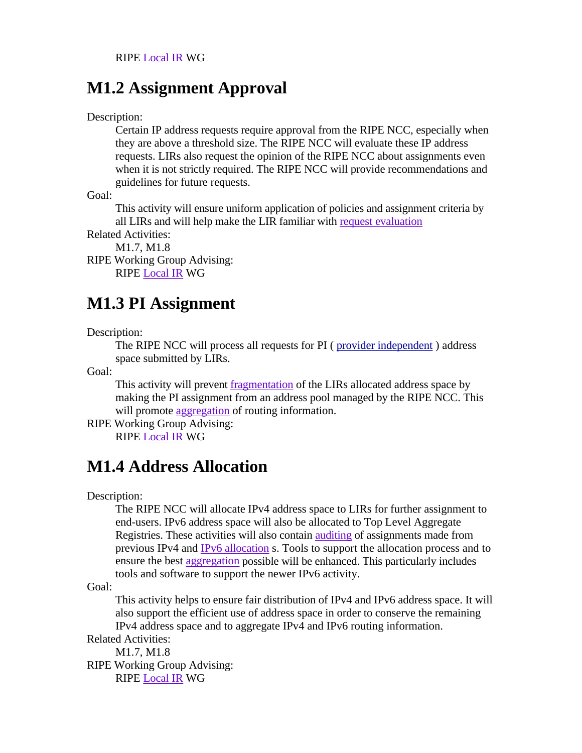#### **M1.2 Assignment Approval**

Description:

Certain IP address requests require approval from the RIPE NCC, especially when they are above a threshold size. The RIPE NCC will evaluate these IP address requests. LIRs also request the opinion of the RIPE NCC about assignments even when it is not strictly required. The RIPE NCC will provide recommendations and guidelines for future requests.

Goal:

This activity will ensure uniform application of policies and assignment criteria by all LIRs and will help make the LIR familiar with request evaluation

Related Activities:

M1.7, M1.8

RIPE Working Group Advising: RIPE Local IR WG

#### **M1.3 PI Assignment**

Description:

The RIPE NCC will process all requests for PI ( provider independent ) address space submitted by LIRs.

Goal:

This activity will prevent fragmentation of the LIRs allocated address space by making the PI assignment from an address pool managed by the RIPE NCC. This will promote aggregation of routing information.

RIPE Working Group Advising: RIPE Local IR WG

## **M1.4 Address Allocation**

Description:

The RIPE NCC will allocate IPv4 address space to LIRs for further assignment to end-users. IPv6 address space will also be allocated to Top Level Aggregate Registries. These activities will also contain auditing of assignments made from previous IPv4 and IPv6 allocation s. Tools to support the allocation process and to ensure the best aggregation possible will be enhanced. This particularly includes tools and software to support the newer IPv6 activity.

Goal:

This activity helps to ensure fair distribution of IPv4 and IPv6 address space. It will also support the efficient use of address space in order to conserve the remaining IPv4 address space and to aggregate IPv4 and IPv6 routing information.

Related Activities: M1.7, M1.8

RIPE Working Group Advising: RIPE Local IR WG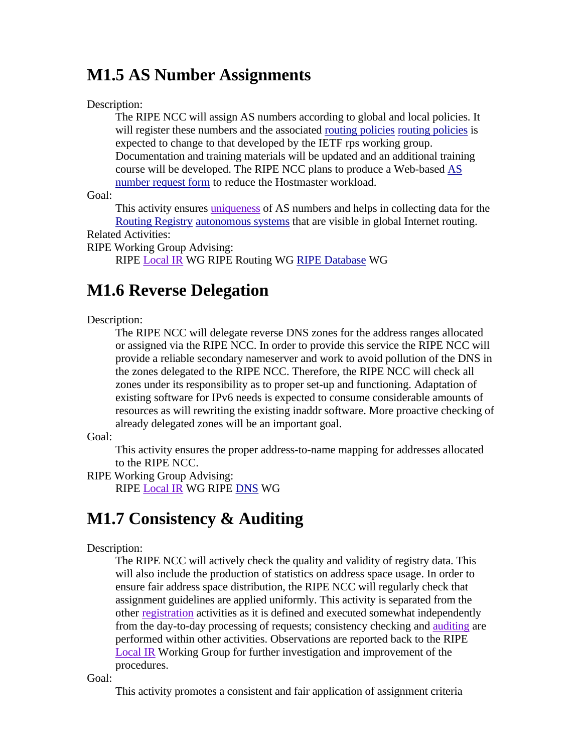#### **M1.5 AS Number Assignments**

#### Description:

The RIPE NCC will assign AS numbers according to global and local policies. It will register these numbers and the associated routing policies routing policies is expected to change to that developed by the IETF rps working group. Documentation and training materials will be updated and an additional training course will be developed. The RIPE NCC plans to produce a Web-based AS number request form to reduce the Hostmaster workload.

Goal:

This activity ensures uniqueness of AS numbers and helps in collecting data for the Routing Registry autonomous systems that are visible in global Internet routing. Related Activities:

RIPE Working Group Advising:

RIPE Local IR WG RIPE Routing WG RIPE Database WG

#### **M1.6 Reverse Delegation**

#### Description:

The RIPE NCC will delegate reverse DNS zones for the address ranges allocated or assigned via the RIPE NCC. In order to provide this service the RIPE NCC will provide a reliable secondary nameserver and work to avoid pollution of the DNS in the zones delegated to the RIPE NCC. Therefore, the RIPE NCC will check all zones under its responsibility as to proper set-up and functioning. Adaptation of existing software for IPv6 needs is expected to consume considerable amounts of resources as will rewriting the existing inaddr software. More proactive checking of already delegated zones will be an important goal.

Goal:

This activity ensures the proper address-to-name mapping for addresses allocated to the RIPE NCC.

RIPE Working Group Advising: RIPE Local IR WG RIPE DNS WG

## **M1.7 Consistency & Auditing**

#### Description:

The RIPE NCC will actively check the quality and validity of registry data. This will also include the production of statistics on address space usage. In order to ensure fair address space distribution, the RIPE NCC will regularly check that assignment guidelines are applied uniformly. This activity is separated from the other registration activities as it is defined and executed somewhat independently from the day-to-day processing of requests; consistency checking and auditing are performed within other activities. Observations are reported back to the RIPE Local IR Working Group for further investigation and improvement of the procedures.

Goal:

This activity promotes a consistent and fair application of assignment criteria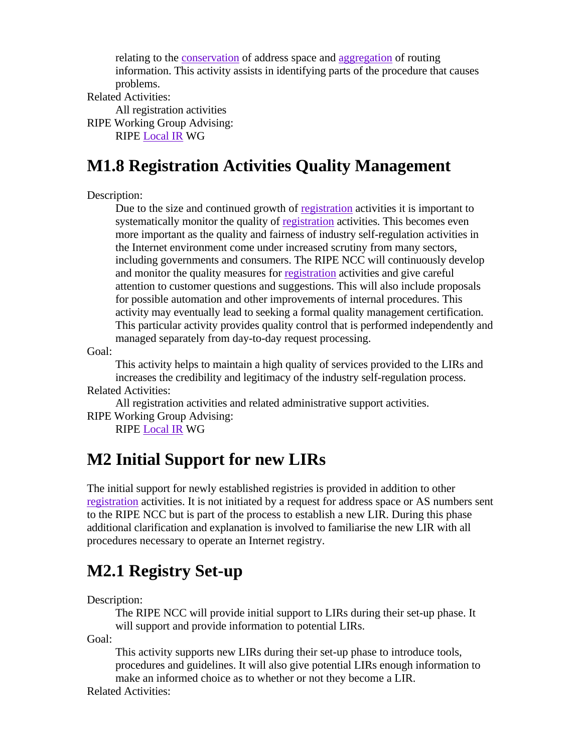relating to the conservation of address space and aggregation of routing information. This activity assists in identifying parts of the procedure that causes problems.

Related Activities:

All registration activities

RIPE Working Group Advising:

RIPE Local IR WG

## **M1.8 Registration Activities Quality Management**

Description:

Due to the size and continued growth of registration activities it is important to systematically monitor the quality of registration activities. This becomes even more important as the quality and fairness of industry self-regulation activities in the Internet environment come under increased scrutiny from many sectors, including governments and consumers. The RIPE NCC will continuously develop and monitor the quality measures for registration activities and give careful attention to customer questions and suggestions. This will also include proposals for possible automation and other improvements of internal procedures. This activity may eventually lead to seeking a formal quality management certification. This particular activity provides quality control that is performed independently and managed separately from day-to-day request processing.

Goal:

This activity helps to maintain a high quality of services provided to the LIRs and increases the credibility and legitimacy of the industry self-regulation process.

Related Activities:

All registration activities and related administrative support activities.

RIPE Working Group Advising:

RIPE Local IR WG

#### **M2 Initial Support for new LIRs**

The initial support for newly established registries is provided in addition to other registration activities. It is not initiated by a request for address space or AS numbers sent to the RIPE NCC but is part of the process to establish a new LIR. During this phase additional clarification and explanation is involved to familiarise the new LIR with all procedures necessary to operate an Internet registry.

## **M2.1 Registry Set-up**

Description:

The RIPE NCC will provide initial support to LIRs during their set-up phase. It will support and provide information to potential LIRs.

Goal:

This activity supports new LIRs during their set-up phase to introduce tools, procedures and guidelines. It will also give potential LIRs enough information to make an informed choice as to whether or not they become a LIR.

Related Activities: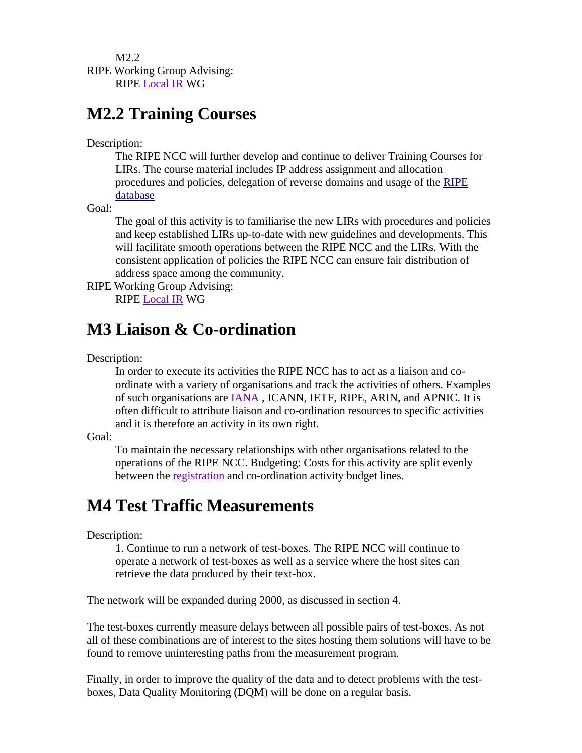M2.2 RIPE Working Group Advising: RIPE Local IR WG

#### **M2.2 Training Courses**

Description:

The RIPE NCC will further develop and continue to deliver Training Courses for LIRs. The course material includes IP address assignment and allocation procedures and policies, delegation of reverse domains and usage of the RIPE database

Goal:

The goal of this activity is to familiarise the new LIRs with procedures and policies and keep established LIRs up-to-date with new guidelines and developments. This will facilitate smooth operations between the RIPE NCC and the LIRs. With the consistent application of policies the RIPE NCC can ensure fair distribution of address space among the community.

RIPE Working Group Advising: RIPE Local IR WG

#### **M3 Liaison & Co-ordination**

Description:

In order to execute its activities the RIPE NCC has to act as a liaison and coordinate with a variety of organisations and track the activities of others. Examples of such organisations are IANA , ICANN, IETF, RIPE, ARIN, and APNIC. It is often difficult to attribute liaison and co-ordination resources to specific activities and it is therefore an activity in its own right.

Goal:

To maintain the necessary relationships with other organisations related to the operations of the RIPE NCC. Budgeting: Costs for this activity are split evenly between the registration and co-ordination activity budget lines.

#### **M4 Test Traffic Measurements**

Description:

1. Continue to run a network of test-boxes. The RIPE NCC will continue to operate a network of test-boxes as well as a service where the host sites can retrieve the data produced by their text-box.

The network will be expanded during 2000, as discussed in section 4.

The test-boxes currently measure delays between all possible pairs of test-boxes. As not all of these combinations are of interest to the sites hosting them solutions will have to be found to remove uninteresting paths from the measurement program.

Finally, in order to improve the quality of the data and to detect problems with the testboxes, Data Quality Monitoring (DQM) will be done on a regular basis.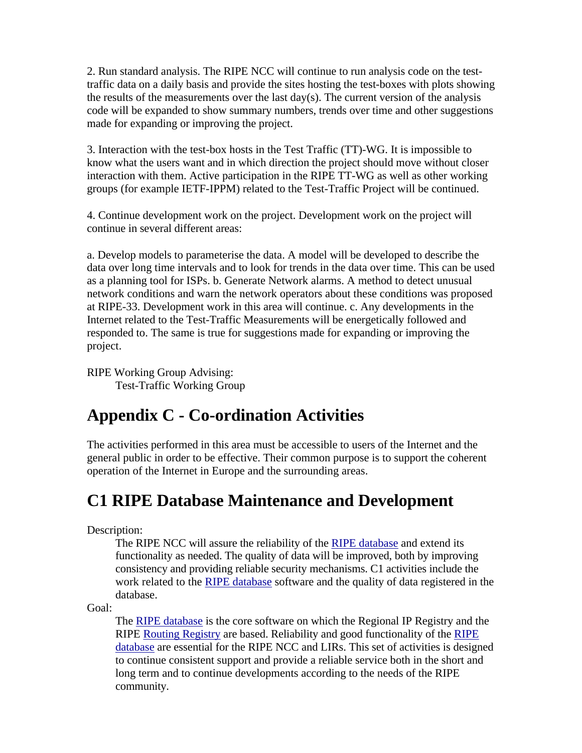2. Run standard analysis. The RIPE NCC will continue to run analysis code on the testtraffic data on a daily basis and provide the sites hosting the test-boxes with plots showing the results of the measurements over the last  $day(s)$ . The current version of the analysis code will be expanded to show summary numbers, trends over time and other suggestions made for expanding or improving the project.

3. Interaction with the test-box hosts in the Test Traffic (TT)-WG. It is impossible to know what the users want and in which direction the project should move without closer interaction with them. Active participation in the RIPE TT-WG as well as other working groups (for example IETF-IPPM) related to the Test-Traffic Project will be continued.

4. Continue development work on the project. Development work on the project will continue in several different areas:

a. Develop models to parameterise the data. A model will be developed to describe the data over long time intervals and to look for trends in the data over time. This can be used as a planning tool for ISPs. b. Generate Network alarms. A method to detect unusual network conditions and warn the network operators about these conditions was proposed at RIPE-33. Development work in this area will continue. c. Any developments in the Internet related to the Test-Traffic Measurements will be energetically followed and responded to. The same is true for suggestions made for expanding or improving the project.

RIPE Working Group Advising: Test-Traffic Working Group

## **Appendix C - Co-ordination Activities**

The activities performed in this area must be accessible to users of the Internet and the general public in order to be effective. Their common purpose is to support the coherent operation of the Internet in Europe and the surrounding areas.

## **C1 RIPE Database Maintenance and Development**

Description:

The RIPE NCC will assure the reliability of the RIPE database and extend its functionality as needed. The quality of data will be improved, both by improving consistency and providing reliable security mechanisms. C1 activities include the work related to the RIPE database software and the quality of data registered in the database.

Goal:

The RIPE database is the core software on which the Regional IP Registry and the RIPE Routing Registry are based. Reliability and good functionality of the RIPE database are essential for the RIPE NCC and LIRs. This set of activities is designed to continue consistent support and provide a reliable service both in the short and long term and to continue developments according to the needs of the RIPE community.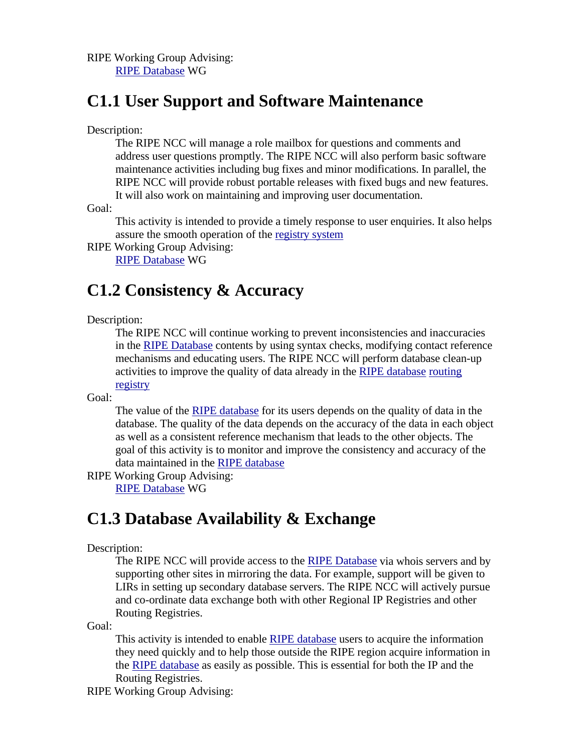RIPE Working Group Advising: RIPE Database WG

#### **C1.1 User Support and Software Maintenance**

Description:

The RIPE NCC will manage a role mailbox for questions and comments and address user questions promptly. The RIPE NCC will also perform basic software maintenance activities including bug fixes and minor modifications. In parallel, the RIPE NCC will provide robust portable releases with fixed bugs and new features. It will also work on maintaining and improving user documentation.

Goal:

This activity is intended to provide a timely response to user enquiries. It also helps assure the smooth operation of the registry system

RIPE Working Group Advising: RIPE Database WG

#### **C1.2 Consistency & Accuracy**

Description:

The RIPE NCC will continue working to prevent inconsistencies and inaccuracies in the RIPE Database contents by using syntax checks, modifying contact reference mechanisms and educating users. The RIPE NCC will perform database clean-up activities to improve the quality of data already in the RIPE database routing registry

Goal:

The value of the RIPE database for its users depends on the quality of data in the database. The quality of the data depends on the accuracy of the data in each object as well as a consistent reference mechanism that leads to the other objects. The goal of this activity is to monitor and improve the consistency and accuracy of the data maintained in the RIPE database

RIPE Working Group Advising: RIPE Database WG

#### **C1.3 Database Availability & Exchange**

#### Description:

The RIPE NCC will provide access to the RIPE Database via whois servers and by supporting other sites in mirroring the data. For example, support will be given to LIRs in setting up secondary database servers. The RIPE NCC will actively pursue and co-ordinate data exchange both with other Regional IP Registries and other Routing Registries.

Goal:

This activity is intended to enable RIPE database users to acquire the information they need quickly and to help those outside the RIPE region acquire information in the RIPE database as easily as possible. This is essential for both the IP and the Routing Registries.

RIPE Working Group Advising: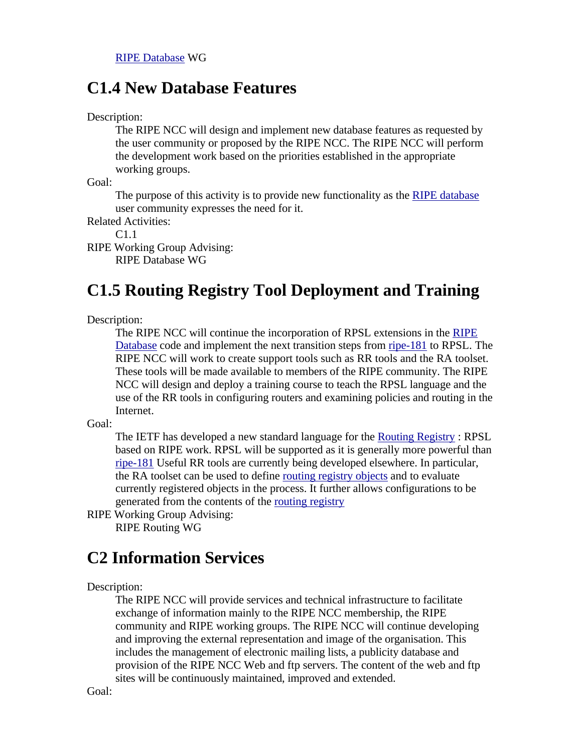#### **C1.4 New Database Features**

Description:

The RIPE NCC will design and implement new database features as requested by the user community or proposed by the RIPE NCC. The RIPE NCC will perform the development work based on the priorities established in the appropriate working groups.

Goal:

The purpose of this activity is to provide new functionality as the RIPE database user community expresses the need for it.

Related Activities:

C1.1

RIPE Working Group Advising: RIPE Database WG

## **C1.5 Routing Registry Tool Deployment and Training**

Description:

The RIPE NCC will continue the incorporation of RPSL extensions in the RIPE Database code and implement the next transition steps from ripe-181 to RPSL. The RIPE NCC will work to create support tools such as RR tools and the RA toolset. These tools will be made available to members of the RIPE community. The RIPE NCC will design and deploy a training course to teach the RPSL language and the use of the RR tools in configuring routers and examining policies and routing in the Internet.

Goal:

The IETF has developed a new standard language for the Routing Registry : RPSL based on RIPE work. RPSL will be supported as it is generally more powerful than ripe-181 Useful RR tools are currently being developed elsewhere. In particular, the RA toolset can be used to define routing registry objects and to evaluate currently registered objects in the process. It further allows configurations to be generated from the contents of the routing registry

RIPE Working Group Advising: RIPE Routing WG

## **C2 Information Services**

Description:

The RIPE NCC will provide services and technical infrastructure to facilitate exchange of information mainly to the RIPE NCC membership, the RIPE community and RIPE working groups. The RIPE NCC will continue developing and improving the external representation and image of the organisation. This includes the management of electronic mailing lists, a publicity database and provision of the RIPE NCC Web and ftp servers. The content of the web and ftp sites will be continuously maintained, improved and extended.

Goal: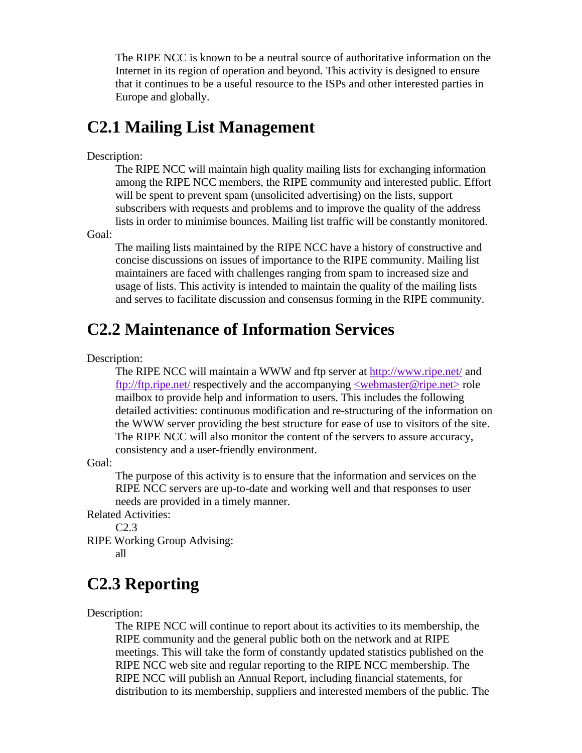The RIPE NCC is known to be a neutral source of authoritative information on the Internet in its region of operation and beyond. This activity is designed to ensure that it continues to be a useful resource to the ISPs and other interested parties in Europe and globally.

#### **C2.1 Mailing List Management**

#### Description:

The RIPE NCC will maintain high quality mailing lists for exchanging information among the RIPE NCC members, the RIPE community and interested public. Effort will be spent to prevent spam (unsolicited advertising) on the lists, support subscribers with requests and problems and to improve the quality of the address lists in order to minimise bounces. Mailing list traffic will be constantly monitored.

Goal:

The mailing lists maintained by the RIPE NCC have a history of constructive and concise discussions on issues of importance to the RIPE community. Mailing list maintainers are faced with challenges ranging from spam to increased size and usage of lists. This activity is intended to maintain the quality of the mailing lists and serves to facilitate discussion and consensus forming in the RIPE community.

#### **C2.2 Maintenance of Information Services**

Description:

The RIPE NCC will maintain a WWW and ftp server at http://www.ripe.net/ and ftp://ftp.ripe.net/ respectively and the accompanying <webmaster@ripe.net> role mailbox to provide help and information to users. This includes the following detailed activities: continuous modification and re-structuring of the information on the WWW server providing the best structure for ease of use to visitors of the site. The RIPE NCC will also monitor the content of the servers to assure accuracy, consistency and a user-friendly environment.

Goal:

The purpose of this activity is to ensure that the information and services on the RIPE NCC servers are up-to-date and working well and that responses to user needs are provided in a timely manner.

Related Activities:

C2.3

RIPE Working Group Advising:

all

## **C2.3 Reporting**

Description:

The RIPE NCC will continue to report about its activities to its membership, the RIPE community and the general public both on the network and at RIPE meetings. This will take the form of constantly updated statistics published on the RIPE NCC web site and regular reporting to the RIPE NCC membership. The RIPE NCC will publish an Annual Report, including financial statements, for distribution to its membership, suppliers and interested members of the public. The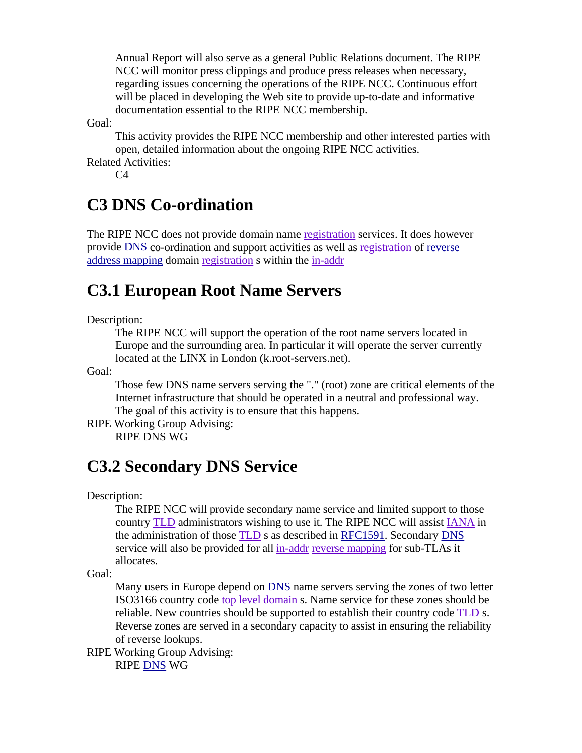Annual Report will also serve as a general Public Relations document. The RIPE NCC will monitor press clippings and produce press releases when necessary, regarding issues concerning the operations of the RIPE NCC. Continuous effort will be placed in developing the Web site to provide up-to-date and informative documentation essential to the RIPE NCC membership.

Goal:

This activity provides the RIPE NCC membership and other interested parties with open, detailed information about the ongoing RIPE NCC activities. Related Activities:

 $C<sub>4</sub>$ 

## **C3 DNS Co-ordination**

The RIPE NCC does not provide domain name registration services. It does however provide DNS co-ordination and support activities as well as registration of reverse address mapping domain registration s within the in-addr

## **C3.1 European Root Name Servers**

Description:

The RIPE NCC will support the operation of the root name servers located in Europe and the surrounding area. In particular it will operate the server currently located at the LINX in London (k.root-servers.net).

Goal:

Those few DNS name servers serving the "." (root) zone are critical elements of the Internet infrastructure that should be operated in a neutral and professional way. The goal of this activity is to ensure that this happens.

RIPE Working Group Advising:

RIPE DNS WG

# **C3.2 Secondary DNS Service**

Description:

The RIPE NCC will provide secondary name service and limited support to those country TLD administrators wishing to use it. The RIPE NCC will assist IANA in the administration of those TLD s as described in RFC1591. Secondary DNS service will also be provided for all in-addr reverse mapping for sub-TLAs it allocates.

Goal:

Many users in Europe depend on DNS name servers serving the zones of two letter ISO3166 country code top level domain s. Name service for these zones should be reliable. New countries should be supported to establish their country code TLD s. Reverse zones are served in a secondary capacity to assist in ensuring the reliability of reverse lookups.

RIPE Working Group Advising: RIPE DNS WG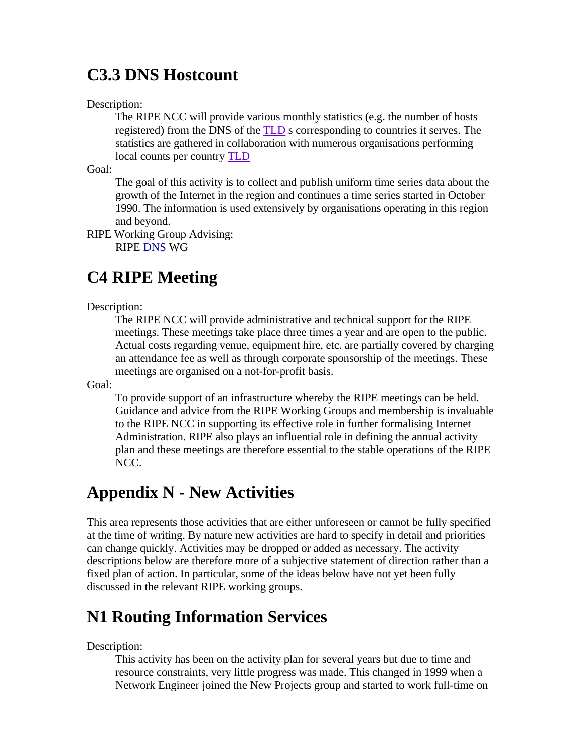#### **C3.3 DNS Hostcount**

Description:

The RIPE NCC will provide various monthly statistics (e.g. the number of hosts registered) from the DNS of the TLD s corresponding to countries it serves. The statistics are gathered in collaboration with numerous organisations performing local counts per country TLD

Goal:

The goal of this activity is to collect and publish uniform time series data about the growth of the Internet in the region and continues a time series started in October 1990. The information is used extensively by organisations operating in this region and beyond.

RIPE Working Group Advising:

RIPE DNS WG

## **C4 RIPE Meeting**

Description:

The RIPE NCC will provide administrative and technical support for the RIPE meetings. These meetings take place three times a year and are open to the public. Actual costs regarding venue, equipment hire, etc. are partially covered by charging an attendance fee as well as through corporate sponsorship of the meetings. These meetings are organised on a not-for-profit basis.

Goal:

To provide support of an infrastructure whereby the RIPE meetings can be held. Guidance and advice from the RIPE Working Groups and membership is invaluable to the RIPE NCC in supporting its effective role in further formalising Internet Administration. RIPE also plays an influential role in defining the annual activity plan and these meetings are therefore essential to the stable operations of the RIPE NCC.

#### **Appendix N - New Activities**

This area represents those activities that are either unforeseen or cannot be fully specified at the time of writing. By nature new activities are hard to specify in detail and priorities can change quickly. Activities may be dropped or added as necessary. The activity descriptions below are therefore more of a subjective statement of direction rather than a fixed plan of action. In particular, some of the ideas below have not yet been fully discussed in the relevant RIPE working groups.

#### **N1 Routing Information Services**

Description:

This activity has been on the activity plan for several years but due to time and resource constraints, very little progress was made. This changed in 1999 when a Network Engineer joined the New Projects group and started to work full-time on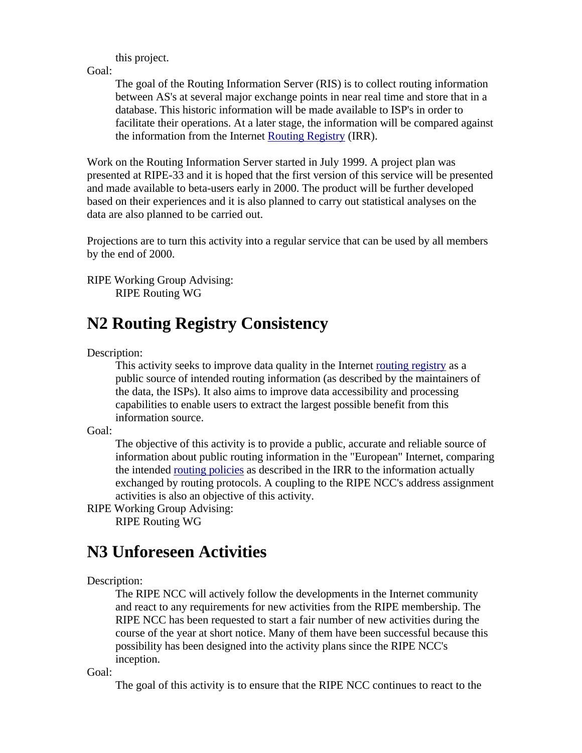this project.

Goal:

The goal of the Routing Information Server (RIS) is to collect routing information between AS's at several major exchange points in near real time and store that in a database. This historic information will be made available to ISP's in order to facilitate their operations. At a later stage, the information will be compared against the information from the Internet Routing Registry (IRR).

Work on the Routing Information Server started in July 1999. A project plan was presented at RIPE-33 and it is hoped that the first version of this service will be presented and made available to beta-users early in 2000. The product will be further developed based on their experiences and it is also planned to carry out statistical analyses on the data are also planned to be carried out.

Projections are to turn this activity into a regular service that can be used by all members by the end of 2000.

RIPE Working Group Advising: RIPE Routing WG

#### **N2 Routing Registry Consistency**

Description:

This activity seeks to improve data quality in the Internet routing registry as a public source of intended routing information (as described by the maintainers of the data, the ISPs). It also aims to improve data accessibility and processing capabilities to enable users to extract the largest possible benefit from this information source.

Goal:

The objective of this activity is to provide a public, accurate and reliable source of information about public routing information in the "European" Internet, comparing the intended routing policies as described in the IRR to the information actually exchanged by routing protocols. A coupling to the RIPE NCC's address assignment activities is also an objective of this activity.

RIPE Working Group Advising: RIPE Routing WG

## **N3 Unforeseen Activities**

#### Description:

The RIPE NCC will actively follow the developments in the Internet community and react to any requirements for new activities from the RIPE membership. The RIPE NCC has been requested to start a fair number of new activities during the course of the year at short notice. Many of them have been successful because this possibility has been designed into the activity plans since the RIPE NCC's inception.

Goal:

The goal of this activity is to ensure that the RIPE NCC continues to react to the